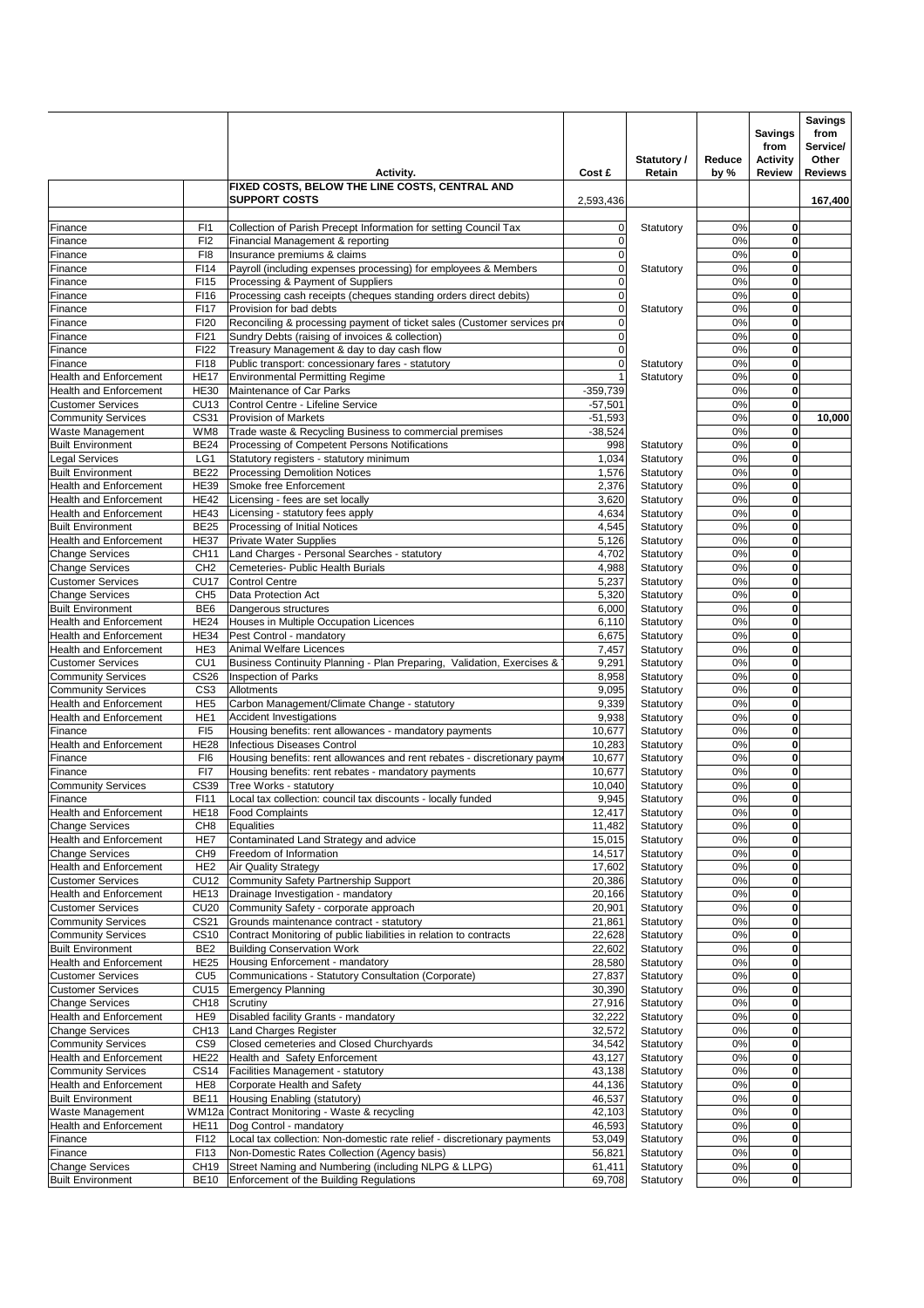|                                                                |                                     |                                                                                                                            | Cost £                     | Statutory /<br>Retain  | Reduce<br>by % | <b>Savings</b><br>from<br><b>Activity</b><br><b>Review</b> | <b>Savings</b><br>from<br>Service/<br>Other<br><b>Reviews</b> |
|----------------------------------------------------------------|-------------------------------------|----------------------------------------------------------------------------------------------------------------------------|----------------------------|------------------------|----------------|------------------------------------------------------------|---------------------------------------------------------------|
|                                                                |                                     | Activity.<br>FIXED COSTS, BELOW THE LINE COSTS, CENTRAL AND<br><b>SUPPORT COSTS</b>                                        | 2,593,436                  |                        |                |                                                            | 167,400                                                       |
|                                                                |                                     |                                                                                                                            |                            |                        |                |                                                            |                                                               |
| Finance<br>Finance                                             | F <sub>1</sub><br>FI2               | Collection of Parish Precept Information for setting Council Tax<br>Financial Management & reporting                       | 0<br>$\mathbf 0$           | Statutory              | 0%<br>0%       | 0<br>0                                                     |                                                               |
| Finance                                                        | FI8                                 | Insurance premiums & claims                                                                                                | $\mathbf 0$                |                        | 0%             | 0                                                          |                                                               |
| Finance                                                        | FI14                                | Payroll (including expenses processing) for employees & Members                                                            | $\mathbf 0$                | Statutory              | 0%             | 0                                                          |                                                               |
| Finance                                                        | FI15                                | Processing & Payment of Suppliers                                                                                          | $\Omega$                   |                        | 0%             | 0                                                          |                                                               |
| Finance                                                        | FI16                                | Processing cash receipts (cheques standing orders direct debits)                                                           | $\mathbf 0$                |                        | 0%             | 0                                                          |                                                               |
| Finance                                                        | F117                                | Provision for bad debts                                                                                                    | $\mathbf 0$                | Statutory              | 0%             | 0<br>$\mathbf 0$                                           |                                                               |
| Finance<br>Finance                                             | <b>FI20</b><br>FI21                 | Reconciling & processing payment of ticket sales (Customer services pro<br>Sundry Debts (raising of invoices & collection) | $\mathbf 0$<br>$\mathbf 0$ |                        | 0%<br>0%       | 0                                                          |                                                               |
| Finance                                                        | <b>FI22</b>                         | Treasury Management & day to day cash flow                                                                                 | $\mathbf 0$                |                        | 0%             | 0                                                          |                                                               |
| Finance                                                        | F118                                | Public transport: concessionary fares - statutory                                                                          | $\mathbf 0$                | Statutory              | 0%             | 0                                                          |                                                               |
| <b>Health and Enforcement</b>                                  | <b>HE17</b>                         | <b>Environmental Permitting Regime</b>                                                                                     |                            | Statutory              | 0%             | 0                                                          |                                                               |
| <b>Health and Enforcement</b>                                  | <b>HE30</b>                         | Maintenance of Car Parks                                                                                                   | $-359,739$                 |                        | 0%             | 0                                                          |                                                               |
| <b>Customer Services</b>                                       | CU13                                | Control Centre - Lifeline Service                                                                                          | $-57,501$                  |                        | 0%             | 0                                                          |                                                               |
| <b>Community Services</b><br>Waste Management                  | CS31<br>WM8                         | Provision of Markets<br>Trade waste & Recycling Business to commercial premises                                            | $-51,593$<br>$-38,524$     |                        | 0%<br>0%       | 0<br>$\bf{0}$                                              | 10,000                                                        |
| <b>Built Environment</b>                                       | <b>BE24</b>                         | Processing of Competent Persons Notifications                                                                              | 998                        | Statutory              | 0%             | 0                                                          |                                                               |
| <b>Legal Services</b>                                          | LG1                                 | Statutory registers - statutory minimum                                                                                    | 1,034                      | Statutory              | 0%             | 0                                                          |                                                               |
| <b>Built Environment</b>                                       | <b>BE22</b>                         | <b>Processing Demolition Notices</b>                                                                                       | 1,576                      | Statutory              | 0%             | $\mathbf 0$                                                |                                                               |
| <b>Health and Enforcement</b>                                  | <b>HE39</b>                         | Smoke free Enforcement                                                                                                     | 2,376                      | Statutory              | 0%             | 0                                                          |                                                               |
| <b>Health and Enforcement</b>                                  | <b>HE42</b>                         | Licensing - fees are set locally                                                                                           | 3,620                      | Statutory              | 0%             | $\mathbf 0$                                                |                                                               |
| <b>Health and Enforcement</b><br><b>Built Environment</b>      | <b>HE43</b><br><b>BE25</b>          | Licensing - statutory fees apply<br>Processing of Initial Notices                                                          | 4,634<br>4,545             | Statutory<br>Statutory | 0%<br>0%       | 0<br>0                                                     |                                                               |
| <b>Health and Enforcement</b>                                  | <b>HE37</b>                         | Private Water Supplies                                                                                                     | 5,126                      | Statutory              | 0%             | $\mathbf 0$                                                |                                                               |
| <b>Change Services</b>                                         | CH11                                | Land Charges - Personal Searches - statutory                                                                               | 4,702                      | Statutory              | 0%             | 0                                                          |                                                               |
| <b>Change Services</b>                                         | CH <sub>2</sub>                     | Cemeteries- Public Health Burials                                                                                          | 4,988                      | Statutory              | 0%             | 0                                                          |                                                               |
| <b>Customer Services</b>                                       | <b>CU17</b>                         | <b>Control Centre</b>                                                                                                      | 5,237                      | Statutory              | 0%             | 0                                                          |                                                               |
| <b>Change Services</b>                                         | CH <sub>5</sub>                     | Data Protection Act                                                                                                        | 5,320                      | Statutory              | 0%             | $\mathbf 0$                                                |                                                               |
| <b>Built Environment</b><br><b>Health and Enforcement</b>      | BE <sub>6</sub><br><b>HE24</b>      | Dangerous structures<br>Houses in Multiple Occupation Licences                                                             | 6,000<br>6,110             | Statutory<br>Statutory | 0%<br>0%       | 0<br>0                                                     |                                                               |
| <b>Health and Enforcement</b>                                  | <b>HE34</b>                         | Pest Control - mandatory                                                                                                   | 6,675                      | Statutory              | 0%             | 0                                                          |                                                               |
| <b>Health and Enforcement</b>                                  | HE3                                 | Animal Welfare Licences                                                                                                    | 7,457                      | Statutory              | 0%             | $\mathbf 0$                                                |                                                               |
| <b>Customer Services</b>                                       | CU <sub>1</sub>                     | Business Continuity Planning - Plan Preparing, Validation, Exercises &                                                     | 9,291                      | Statutory              | 0%             | 0                                                          |                                                               |
| <b>Community Services</b>                                      | <b>CS26</b>                         | Inspection of Parks                                                                                                        | 8,958                      | Statutory              | 0%             | 0                                                          |                                                               |
| <b>Community Services</b>                                      | CS <sub>3</sub>                     | Allotments                                                                                                                 | 9,095                      | Statutory              | 0%             | 0                                                          |                                                               |
| <b>Health and Enforcement</b><br><b>Health and Enforcement</b> | HE <sub>5</sub><br>HE <sub>1</sub>  | Carbon Management/Climate Change - statutory<br><b>Accident Investigations</b>                                             | 9,339<br>9,938             | Statutory<br>Statutory | 0%<br>0%       | 0<br>0                                                     |                                                               |
| Finance                                                        | FI <sub>5</sub>                     | Housing benefits: rent allowances - mandatory payments                                                                     | 10,677                     | Statutory              | 0%             | 0                                                          |                                                               |
| <b>Health and Enforcement</b>                                  | <b>HE28</b>                         | Infectious Diseases Control                                                                                                | 10,283                     | Statutory              | 0%             | 0                                                          |                                                               |
| Finance                                                        | FI6                                 | Housing benefits: rent allowances and rent rebates - discretionary payme                                                   | 10,677                     | Statutory              | 0%             | $\mathbf 0$                                                |                                                               |
| Finance                                                        | FI7                                 | Housing benefits: rent rebates - mandatory payments                                                                        | 10,677                     | Statutory              | 0%             | 0                                                          |                                                               |
| <b>Community Services</b>                                      | CS39                                | Tree Works - statutory                                                                                                     | 10,040                     | Statutory              | 0%             | 0                                                          |                                                               |
| Finance                                                        | FI11                                | Local tax collection: council tax discounts - locally funded                                                               | 9,945                      | Statutory              | 0%             | 0                                                          |                                                               |
| <b>Health and Enforcement</b><br><b>Change Services</b>        | <b>HE18</b><br>CH <sub>8</sub>      | <b>Food Complaints</b><br>Equalities                                                                                       | 12,417<br>11,482           | Statutory<br>Statutory | 0%<br>0%       | 0<br>0                                                     |                                                               |
| <b>Health and Enforcement</b>                                  | HE7                                 | Contaminated Land Strategy and advice                                                                                      | 15,015                     | Statutory              | 0%             | 0                                                          |                                                               |
| <b>Change Services</b>                                         | CH <sub>9</sub>                     | Freedom of Information                                                                                                     | 14,517                     | Statutory              | 0%             | 0                                                          |                                                               |
| <b>Health and Enforcement</b>                                  | HE <sub>2</sub>                     | <b>Air Quality Strategy</b>                                                                                                | 17,602                     | Statutory              | 0%             | 0                                                          |                                                               |
| <b>Customer Services</b>                                       | <b>CU12</b>                         | Community Safety Partnership Support                                                                                       | 20,386                     | Statutory              | 0%             | 0                                                          |                                                               |
| <b>Health and Enforcement</b><br><b>Customer Services</b>      | <b>HE13</b>                         | Drainage Investigation - mandatory<br>Community Safety - corporate approach                                                | 20,166                     | Statutory              | 0%             | 0<br>0                                                     |                                                               |
| <b>Community Services</b>                                      | <b>CU20</b><br>CS21                 | Grounds maintenance contract - statutory                                                                                   | 20,901<br>21,861           | Statutory<br>Statutory | 0%<br>0%       | 0                                                          |                                                               |
| <b>Community Services</b>                                      | <b>CS10</b>                         | Contract Monitoring of public liabilities in relation to contracts                                                         | 22,628                     | Statutory              | 0%             | 0                                                          |                                                               |
| <b>Built Environment</b>                                       | BE <sub>2</sub>                     | <b>Building Conservation Work</b>                                                                                          | 22,602                     | Statutory              | 0%             | 0                                                          |                                                               |
| <b>Health and Enforcement</b>                                  | <b>HE25</b>                         | Housing Enforcement - mandatory                                                                                            | 28,580                     | Statutory              | 0%             | 0                                                          |                                                               |
| <b>Customer Services</b>                                       | CU <sub>5</sub>                     | Communications - Statutory Consultation (Corporate)                                                                        | 27,837                     | Statutory              | 0%             | 0                                                          |                                                               |
| <b>Customer Services</b>                                       | <b>CU15</b>                         | <b>Emergency Planning</b>                                                                                                  | 30,390                     | Statutory              | 0%             | 0                                                          |                                                               |
| <b>Change Services</b><br><b>Health and Enforcement</b>        | CH <sub>18</sub><br>HE <sub>9</sub> | Scrutiny<br>Disabled facility Grants - mandatory                                                                           | 27,916<br>32,222           | Statutory<br>Statutory | 0%<br>0%       | 0<br>0                                                     |                                                               |
| <b>Change Services</b>                                         | CH13                                | <b>Land Charges Register</b>                                                                                               | 32,572                     | Statutory              | 0%             | 0                                                          |                                                               |
| <b>Community Services</b>                                      | CS <sub>9</sub>                     | Closed cemeteries and Closed Churchyards                                                                                   | 34,542                     | Statutory              | 0%             | 0                                                          |                                                               |
| <b>Health and Enforcement</b>                                  | <b>HE22</b>                         | Health and Safety Enforcement                                                                                              | 43,127                     | Statutory              | 0%             | 0                                                          |                                                               |
| <b>Community Services</b>                                      | <b>CS14</b>                         | Facilities Management - statutory                                                                                          | 43,138                     | Statutory              | 0%             | 0                                                          |                                                               |
| <b>Health and Enforcement</b>                                  | HE <sub>8</sub>                     | Corporate Health and Safety                                                                                                | 44,136                     | Statutory              | 0%             | 0                                                          |                                                               |
| <b>Built Environment</b>                                       | <b>BE11</b>                         | Housing Enabling (statutory)                                                                                               | 46,537                     | Statutory              | 0%             | 0                                                          |                                                               |
| Waste Management<br>Health and Enforcement                     | WM12a<br><b>HE11</b>                | Contract Monitoring - Waste & recycling<br>Dog Control - mandatory                                                         | 42,103<br>46,593           | Statutory<br>Statutory | 0%<br>0%       | 0<br>0                                                     |                                                               |
| Finance                                                        | FI12                                | Local tax collection: Non-domestic rate relief - discretionary payments                                                    | 53,049                     | Statutory              | 0%             | 0                                                          |                                                               |
| Finance                                                        | FI13                                | Non-Domestic Rates Collection (Agency basis)                                                                               | 56,821                     | Statutory              | 0%             | 0                                                          |                                                               |
| <b>Change Services</b>                                         | <b>CH19</b>                         | Street Naming and Numbering (including NLPG & LLPG)                                                                        | 61,411                     | Statutory              | 0%             | 0                                                          |                                                               |
| <b>Built Environment</b>                                       | <b>BE10</b>                         | Enforcement of the Building Regulations                                                                                    | 69,708                     | Statutory              | 0%             | 0                                                          |                                                               |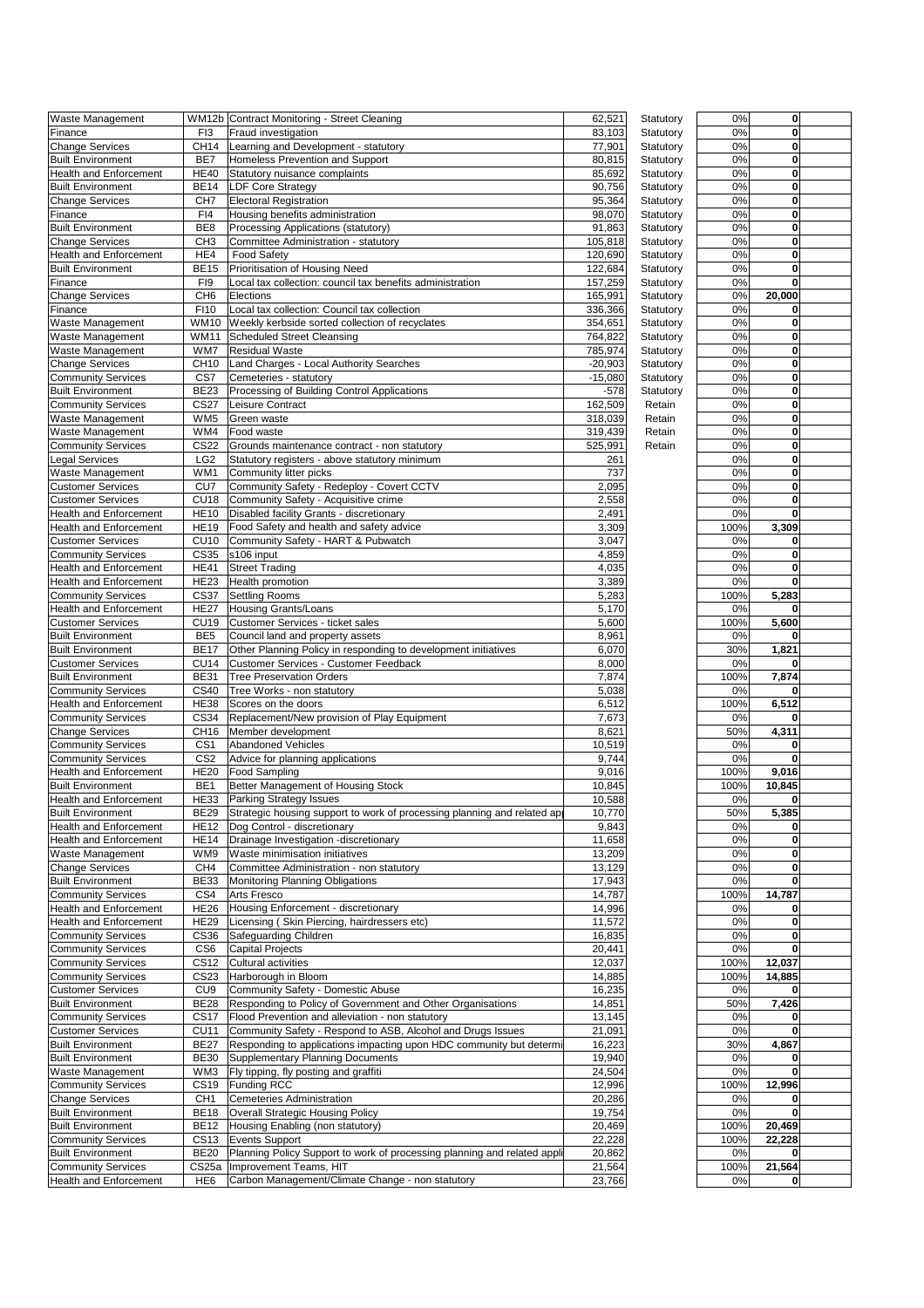| Waste Management                                           |                            | WM12b Contract Monitoring - Street Cleaning                                | 62,521           | Statutory              | 0%           | 0                |
|------------------------------------------------------------|----------------------------|----------------------------------------------------------------------------|------------------|------------------------|--------------|------------------|
| Finance                                                    | F <sub>13</sub>            | Fraud investigation                                                        | 83,103           | Statutory              | 0%           | 0                |
| <b>Change Services</b>                                     | CH14                       | Learning and Development - statutory                                       | 77,901           | Statutory              | 0%           | 0                |
| <b>Built Environment</b><br><b>Health and Enforcement</b>  | BE7<br><b>HE40</b>         | Homeless Prevention and Support                                            | 80,815           | Statutory              | 0%<br>0%     | 0<br>0           |
| <b>Built Environment</b>                                   | <b>BE14</b>                | Statutory nuisance complaints                                              | 85,692           | Statutory              | 0%           | 0                |
| <b>Change Services</b>                                     | CH <sub>7</sub>            | <b>LDF Core Strategy</b><br><b>Electoral Registration</b>                  | 90,756<br>95,364 | Statutory<br>Statutory | 0%           | 0                |
| Finance                                                    | FI4                        | Housing benefits administration                                            | 98,070           | Statutory              | 0%           | 0                |
| <b>Built Environment</b>                                   | BE8                        | Processing Applications (statutory)                                        | 91,863           | Statutory              | 0%           | 0                |
| <b>Change Services</b>                                     | CH <sub>3</sub>            | Committee Administration - statutory                                       | 105,818          | Statutory              | 0%           | 0                |
| <b>Health and Enforcement</b>                              | HE4                        | <b>Food Safety</b>                                                         | 120,690          | Statutory              | 0%           | 0                |
| <b>Built Environment</b>                                   | <b>BE15</b>                | Prioritisation of Housing Need                                             | 122,684          | Statutory              | 0%           | 0                |
| Finance                                                    | FI9                        | Local tax collection: council tax benefits administration                  | 157,259          | Statutory              | 0%           | 0                |
| <b>Change Services</b>                                     | CH <sub>6</sub>            | Elections                                                                  | 165,991          | Statutory              | 0%           | 20,000           |
| Finance                                                    | <b>FI10</b>                | Local tax collection: Council tax collection                               | 336,366          | Statutory              | 0%           | 0                |
| Waste Management                                           | WM10                       | Weekly kerbside sorted collection of recyclates                            | 354,651          | Statutory              | 0%           | 0                |
| Waste Management                                           | WM11                       | Scheduled Street Cleansing                                                 | 764,822          | Statutory              | 0%           | 0                |
| Waste Management                                           | WM7                        | <b>Residual Waste</b>                                                      | 785,974          | Statutory              | 0%           | 0                |
| <b>Change Services</b>                                     | CH10                       | Land Charges - Local Authority Searches                                    | $-20,903$        | Statutory              | 0%           | 0                |
| <b>Community Services</b>                                  | CS7                        | Cemeteries - statutory                                                     | $-15,080$        | Statutory              | 0%           | 0                |
| <b>Built Environment</b>                                   | <b>BE23</b>                | Processing of Building Control Applications                                | $-578$           | Statutory              | 0%           | 0                |
| <b>Community Services</b>                                  | <b>CS27</b>                | Leisure Contract                                                           | 162,509          | Retain                 | 0%           | 0                |
| Waste Management                                           | WM <sub>5</sub>            | Green waste                                                                | 318.039          | Retain                 | 0%           | 0                |
| Waste Management                                           | WM4                        | Food waste                                                                 | 319,439          | Retain                 | 0%           | 0                |
| <b>Community Services</b>                                  | <b>CS22</b>                | Grounds maintenance contract - non statutory                               | 525,991          | Retain                 | 0%           | 0                |
| <b>Legal Services</b>                                      | LG <sub>2</sub>            | Statutory registers - above statutory minimum                              | 261              |                        | 0%           | 0                |
| Waste Management                                           | WM1                        | Community litter picks                                                     | 737              |                        | 0%           | 0                |
| <b>Customer Services</b>                                   | CU <sub>7</sub>            | Community Safety - Redeploy - Covert CCTV                                  | 2,095            |                        | 0%           | 0                |
| <b>Customer Services</b>                                   | <b>CU18</b>                | Community Safety - Acquisitive crime                                       | 2,558            |                        | 0%           | 0                |
| <b>Health and Enforcement</b>                              | <b>HE10</b>                | Disabled facility Grants - discretionary                                   | 2,491            |                        | 0%           | 0                |
| <b>Health and Enforcement</b>                              | <b>HE19</b>                | Food Safety and health and safety advice                                   | 3,309            |                        | 100%         | 3,309            |
| <b>Customer Services</b>                                   | <b>CU10</b>                | Community Safety - HART & Pubwatch                                         | 3,047            |                        | 0%           | 0                |
| <b>Community Services</b>                                  | CS35                       | s106 input                                                                 | 4,859            |                        | 0%           | 0                |
| <b>Health and Enforcement</b>                              | <b>HE41</b>                | <b>Street Trading</b>                                                      | 4,035            |                        | 0%           | 0                |
| <b>Health and Enforcement</b>                              | <b>HE23</b>                | Health promotion                                                           | 3,389            |                        | 0%<br>100%   | 0                |
| <b>Community Services</b><br><b>Health and Enforcement</b> | <b>CS37</b><br><b>HE27</b> | <b>Settling Rooms</b><br><b>Housing Grants/Loans</b>                       | 5,283<br>5,170   |                        | 0%           | 5,283<br>0       |
| <b>Customer Services</b>                                   | CU <sub>19</sub>           | Customer Services - ticket sales                                           | 5,600            |                        | 100%         | 5,600            |
| <b>Built Environment</b>                                   | BE <sub>5</sub>            | Council land and property assets                                           | 8,961            |                        | 0%           |                  |
| <b>Built Environment</b>                                   | <b>BE17</b>                | Other Planning Policy in responding to development initiatives             | 6,070            |                        | 30%          | 1,821            |
| <b>Customer Services</b>                                   | CU14                       | Customer Services - Customer Feedback                                      | 8,000            |                        | 0%           | 0                |
| <b>Built Environment</b>                                   | <b>BE31</b>                | <b>Tree Preservation Orders</b>                                            | 7,874            |                        | 100%         | 7,874            |
| <b>Community Services</b>                                  | CS40                       | Tree Works - non statutory                                                 | 5,038            |                        | 0%           | 0                |
| Health and Enforcement                                     | <b>HE38</b>                | Scores on the doors                                                        | 6,512            |                        | 100%         | 6,512            |
| <b>Community Services</b>                                  | CS34                       | Replacement/New provision of Play Equipment                                | 7,673            |                        | 0%           | 0                |
| <b>Change Services</b>                                     | CH <sub>16</sub>           | Member development                                                         | 8,621            |                        | 50%          | 4,311            |
| <b>Community Services</b>                                  | CS <sub>1</sub>            | <b>Abandoned Vehicles</b>                                                  | 10,519           |                        | 0%           | 0                |
| <b>Community Services</b>                                  | CS <sub>2</sub>            | Advice for planning applications                                           | 9,744            |                        | 0%           | 0                |
| <b>Health and Enforcement</b>                              | <b>HE20</b>                | <b>Food Sampling</b>                                                       | 9,016            |                        | 100%         | 9,016            |
| <b>Built Environment</b>                                   | BE <sub>1</sub>            | Better Management of Housing Stock                                         | 10,845           |                        | 100%         | 10,845           |
| <b>Health and Enforcement</b>                              | <b>HE33</b>                | <b>Parking Strategy Issues</b>                                             | 10,588           |                        | 0%           | 0                |
| <b>Built Environment</b>                                   | BE29                       | Strategic housing support to work of processing planning and related apply | 10,770           |                        | 50%          | 5,385            |
| <b>Health and Enforcement</b>                              | <b>HE12</b>                | Dog Control - discretionary                                                | 9,843            |                        | 0%           | 0                |
| <b>Health and Enforcement</b>                              | <b>HE14</b>                | Drainage Investigation -discretionary                                      | 11,658           |                        | 0%           | 0                |
| <b>Waste Management</b>                                    | WM9                        | Waste minimisation initiatives                                             | 13,209           |                        | 0%           | 0                |
| <b>Change Services</b>                                     | CH <sub>4</sub>            | Committee Administration - non statutory                                   | 13,129           |                        | 0%           | 0                |
| <b>Built Environment</b>                                   | <b>BE33</b>                | Monitoring Planning Obligations                                            | 17,943           |                        | 0%           | 0                |
| <b>Community Services</b>                                  | CS4                        | <b>Arts Fresco</b>                                                         | 14,787           |                        | 100%         | 14,787           |
| Health and Enforcement                                     | <b>HE26</b>                | Housing Enforcement - discretionary                                        | 14,996           |                        | 0%           | 0                |
| <b>Health and Enforcement</b>                              | <b>HE29</b>                | Licensing (Skin Piercing, hairdressers etc)                                | 11,572           |                        | 0%           | 0                |
| <b>Community Services</b>                                  | CS36                       | Safequarding Children                                                      | 16,835           |                        | 0%           | 0                |
| <b>Community Services</b>                                  | CS <sub>6</sub>            | <b>Capital Projects</b>                                                    | 20,441           |                        | 0%           | 0                |
| <b>Community Services</b><br><b>Community Services</b>     | CS12<br>CS23               | <b>Cultural activities</b><br>Harborough in Bloom                          | 12,037<br>14,885 |                        | 100%<br>100% | 12,037<br>14,885 |
| <b>Customer Services</b>                                   | CU <sub>9</sub>            | Community Safety - Domestic Abuse                                          | 16,235           |                        | 0%           |                  |
| <b>Built Environment</b>                                   | <b>BE28</b>                | Responding to Policy of Government and Other Organisations                 | 14,851           |                        | 50%          | 7,426            |
| <b>Community Services</b>                                  | <b>CS17</b>                | Flood Prevention and alleviation - non statutory                           | 13,145           |                        | 0%           | 0                |
| <b>Customer Services</b>                                   | <b>CU11</b>                | Community Safety - Respond to ASB, Alcohol and Drugs Issues                | 21,091           |                        | 0%           | 0                |
| <b>Built Environment</b>                                   | <b>BE27</b>                | Responding to applications impacting upon HDC community but determi        | 16,223           |                        | 30%          | 4,867            |
| <b>Built Environment</b>                                   | <b>BE30</b>                | <b>Supplementary Planning Documents</b>                                    | 19,940           |                        | 0%           | 0                |
| Waste Management                                           | WM3                        | Fly tipping, fly posting and graffiti                                      | 24,504           |                        | 0%           | 0                |
| <b>Community Services</b>                                  | CS19                       | <b>Funding RCC</b>                                                         | 12,996           |                        | 100%         | 12,996           |
| <b>Change Services</b>                                     | CH <sub>1</sub>            | <b>Cemeteries Administration</b>                                           | 20,286           |                        | 0%           | 0                |
| <b>Built Environment</b>                                   | <b>BE18</b>                | Overall Strategic Housing Policy                                           | 19,754           |                        | 0%           | 0                |
| <b>Built Environment</b>                                   | <b>BE12</b>                | Housing Enabling (non statutory)                                           | 20,469           |                        | 100%         | 20,469           |
| <b>Community Services</b>                                  | CS13                       | <b>Events Support</b>                                                      | 22,228           |                        | 100%         | 22,228           |
| <b>Built Environment</b>                                   | <b>BE20</b>                | Planning Policy Support to work of processing planning and related appli   | 20,862           |                        | 0%           | 0                |
| <b>Community Services</b>                                  | CS25a                      | Improvement Teams, HIT                                                     | 21,564           |                        | 100%         | 21,564           |
| <b>Health and Enforcement</b>                              | HE <sub>6</sub>            | Carbon Management/Climate Change - non statutory                           | 23,766           |                        | 0%           | 0                |

| 0%         | 0           |  |
|------------|-------------|--|
| 0%         | 0           |  |
| 0%         | 0           |  |
| 0%         | 0           |  |
|            |             |  |
| 0%         | 0           |  |
| 0%         | 0           |  |
| 0%         | 0           |  |
| 0%         | 0           |  |
| 0%         | 0           |  |
|            |             |  |
| 0%         | 0           |  |
| 0%         | 0           |  |
| 0%         | 0           |  |
| 0%         | 0           |  |
| 0%         |             |  |
|            | 20,000      |  |
| 0%         | 0           |  |
| 0%         | 0           |  |
| 0%         | 0           |  |
| 0%         | 0           |  |
|            | 0           |  |
| 0%         |             |  |
| 0%         | 0           |  |
| 0%         | 0           |  |
| 0%         | 0           |  |
| 0%         | 0           |  |
|            |             |  |
| 0%         | 0           |  |
| 0%         | 0           |  |
| 0%         | 0           |  |
| 0%         | 0           |  |
|            |             |  |
| 0%         | 0           |  |
| 0%         | 0           |  |
| 0%         | 0           |  |
| 100%       | 3,309       |  |
| 0%         | 0           |  |
|            |             |  |
| 0%         | 0           |  |
| 0%         | 0           |  |
| 0%         | 0           |  |
| 100%       | 5,283       |  |
|            |             |  |
| 0%         | 0           |  |
| 100%       | 5,600       |  |
| 0%         | 0           |  |
| 30%        | 1,821       |  |
| 0%         | 0           |  |
|            |             |  |
| 100%       | 7,874       |  |
| 0%         | 0           |  |
| 100%       | 6,512       |  |
| 0%         | 0           |  |
| 50%        | 4,311       |  |
|            |             |  |
| 0%         | 0           |  |
| 0%         | 0           |  |
| 100%       | 9,016       |  |
| 100%       | 10,845      |  |
| 0%         | 0           |  |
|            |             |  |
| 50%        | 5,385       |  |
| 0%         | 0           |  |
| 0%         | 0           |  |
| 0%         | 0           |  |
| 0%         | 0           |  |
|            |             |  |
| 0%         | 0           |  |
|            |             |  |
| 100%       | 14,787      |  |
| 0%         | 0           |  |
| 0%         | 0           |  |
|            |             |  |
| 0%         | 0           |  |
| 0%         | 0           |  |
| 100%       | 12,037      |  |
| 100%       | 14,885      |  |
| 0%         | 0           |  |
|            |             |  |
| 50%        | 7,426       |  |
| 0%         | 0           |  |
| 0%         | 0           |  |
| 30%        | 4,867       |  |
| 0%         | 0           |  |
|            | 0           |  |
| 0%         |             |  |
| 100%       | 12,996      |  |
| 0%         | 0           |  |
| 0%         | 0           |  |
| 100%       | 20,469      |  |
|            |             |  |
| 100%       | 22,228      |  |
| 0%         | 0           |  |
| 100%<br>0% | 21,564<br>0 |  |